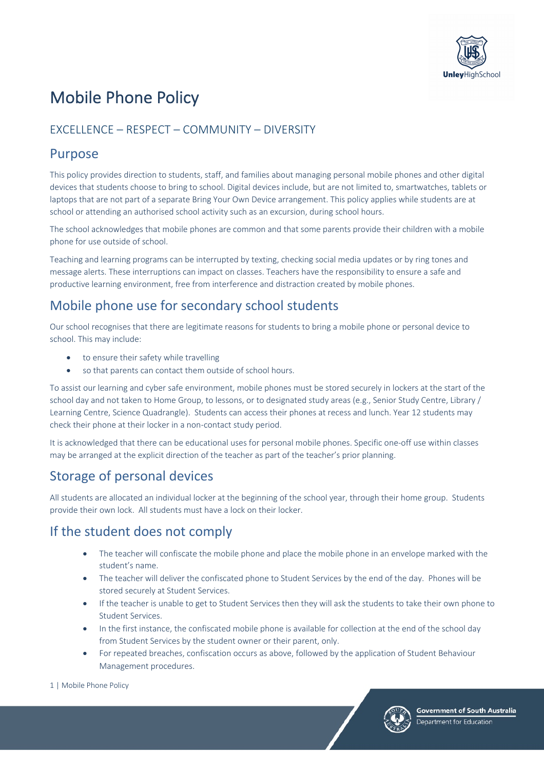

# Mobile Phone Policy

### EXCELLENCE – RESPECT – COMMUNITY – DIVERSITY

### Purpose

This policy provides direction to students, staff, and families about managing personal mobile phones and other digital devices that students choose to bring to school. Digital devices include, but are not limited to, smartwatches, tablets or laptops that are not part of a separate Bring Your Own Device arrangement. This policy applies while students are at school or attending an authorised school activity such as an excursion, during school hours.

The school acknowledges that mobile phones are common and that some parents provide their children with a mobile phone for use outside of school.

Teaching and learning programs can be interrupted by texting, checking social media updates or by ring tones and message alerts. These interruptions can impact on classes. Teachers have the responsibility to ensure a safe and productive learning environment, free from interference and distraction created by mobile phones.

# Mobile phone use for secondary school students

Our school recognises that there are legitimate reasons for students to bring a mobile phone or personal device to school. This may include:

- to ensure their safety while travelling
- so that parents can contact them outside of school hours.

To assist our learning and cyber safe environment, mobile phones must be stored securely in lockers at the start of the school day and not taken to Home Group, to lessons, or to designated study areas (e.g., Senior Study Centre, Library / Learning Centre, Science Quadrangle). Students can access their phones at recess and lunch. Year 12 students may check their phone at their locker in a non-contact study period.

It is acknowledged that there can be educational uses for personal mobile phones. Specific one-off use within classes may be arranged at the explicit direction of the teacher as part of the teacher's prior planning.

## Storage of personal devices

All students are allocated an individual locker at the beginning of the school year, through their home group. Students provide their own lock. All students must have a lock on their locker.

### If the student does not comply

- The teacher will confiscate the mobile phone and place the mobile phone in an envelope marked with the student's name.
- The teacher will deliver the confiscated phone to Student Services by the end of the day. Phones will be stored securely at Student Services.
- If the teacher is unable to get to Student Services then they will ask the students to take their own phone to Student Services.
- In the first instance, the confiscated mobile phone is available for collection at the end of the school day from Student Services by the student owner or their parent, only.
- For repeated breaches, confiscation occurs as above, followed by the application of Student Behaviour Management procedures.



**Government of South Australia** Department for Education

1 | Mobile Phone Policy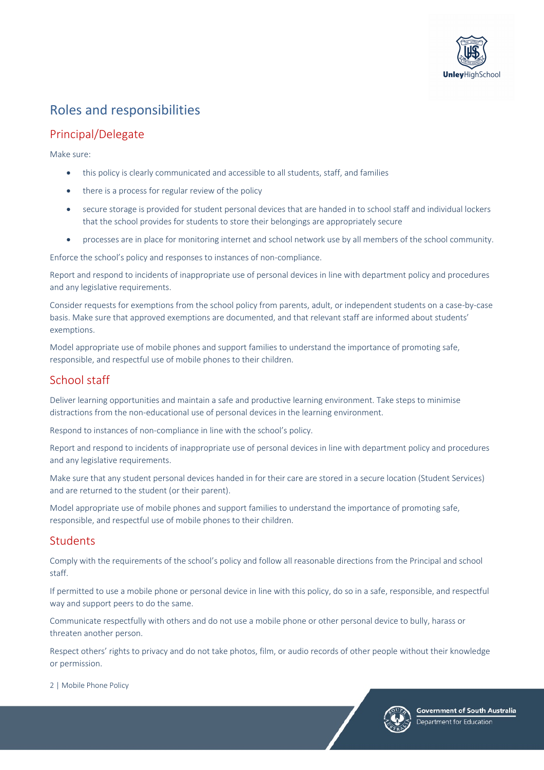

# Roles and responsibilities

### Principal/Delegate

Make sure:

- this policy is clearly communicated and accessible to all students, staff, and families
- there is a process for regular review of the policy
- secure storage is provided for student personal devices that are handed in to school staff and individual lockers that the school provides for students to store their belongings are appropriately secure
- processes are in place for monitoring internet and school network use by all members of the school community.

Enforce the school's policy and responses to instances of non-compliance.

Report and respond to incidents of inappropriate use of personal devices in line with department policy and procedures and any legislative requirements.

Consider requests for exemptions from the school policy from parents, adult, or independent students on a case-by-case basis. Make sure that approved exemptions are documented, and that relevant staff are informed about students' exemptions.

Model appropriate use of mobile phones and support families to understand the importance of promoting safe, responsible, and respectful use of mobile phones to their children.

### School staff

Deliver learning opportunities and maintain a safe and productive learning environment. Take steps to minimise distractions from the non-educational use of personal devices in the learning environment.

Respond to instances of non-compliance in line with the school's policy.

Report and respond to incidents of inappropriate use of personal devices in line with department policy and procedures and any legislative requirements.

Make sure that any student personal devices handed in for their care are stored in a secure location (Student Services) and are returned to the student (or their parent).

Model appropriate use of mobile phones and support families to understand the importance of promoting safe, responsible, and respectful use of mobile phones to their children.

#### Students

Comply with the requirements of the school's policy and follow all reasonable directions from the Principal and school staff.

If permitted to use a mobile phone or personal device in line with this policy, do so in a safe, responsible, and respectful way and support peers to do the same.

Communicate respectfully with others and do not use a mobile phone or other personal device to bully, harass or threaten another person.

Respect others' rights to privacy and do not take photos, film, or audio records of other people without their knowledge or permission.

2 | Mobile Phone Policy